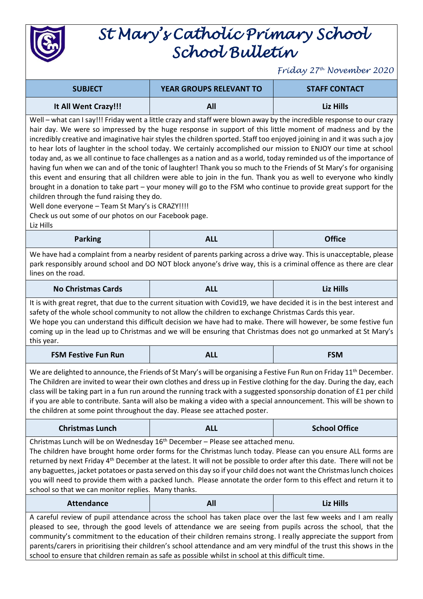

## *St Mary's Catholic Primary School School Bulletin*

*Friday 27th November 2020*

| <b>SUBJECT</b>       | <b>YEAR GROUPS RELEVANT TO</b> | <b>STAFF CONTACT</b> |
|----------------------|--------------------------------|----------------------|
| It All Went Crazy!!! | All                            | Liz Hills            |

Well – what can I say!!! Friday went a little crazy and staff were blown away by the incredible response to our crazy hair day. We were so impressed by the huge response in support of this little moment of madness and by the incredibly creative and imaginative hair styles the children sported. Staff too enjoyed joining in and it was such a joy to hear lots of laughter in the school today. We certainly accomplished our mission to ENJOY our time at school today and, as we all continue to face challenges as a nation and as a world, today reminded us of the importance of having fun when we can and of the tonic of laughter! Thank you so much to the Friends of St Mary's for organising this event and ensuring that all children were able to join in the fun. Thank you as well to everyone who kindly brought in a donation to take part – your money will go to the FSM who continue to provide great support for the children through the fund raising they do.

Well done everyone - Team St Mary's is CRAZY!!!!

Check us out some of our photos on our Facebook page.

Liz Hills

| <b>Parking</b> | ALL | <b>Office</b> |
|----------------|-----|---------------|
|----------------|-----|---------------|

We have had a complaint from a nearby resident of parents parking across a drive way. This is unacceptable, please park responsibly around school and DO NOT block anyone's drive way, this is a criminal offence as there are clear lines on the road.

| No Christmas Cards | $\mathbf{A}$<br>- - - | <b>Liz Hills</b> |
|--------------------|-----------------------|------------------|
|--------------------|-----------------------|------------------|

It is with great regret, that due to the current situation with Covid19, we have decided it is in the best interest and safety of the whole school community to not allow the children to exchange Christmas Cards this year. We hope you can understand this difficult decision we have had to make. There will however, be some festive fun

coming up in the lead up to Christmas and we will be ensuring that Christmas does not go unmarked at St Mary's this year.

| <b>FSM Festive Fun Run</b> |  | <b>FSM</b> |
|----------------------------|--|------------|
|----------------------------|--|------------|

We are delighted to announce, the Friends of St Mary's will be organising a Festive Fun Run on Friday 11<sup>th</sup> December. The Children are invited to wear their own clothes and dress up in Festive clothing for the day. During the day, each class will be taking part in a fun run around the running track with a suggested sponsorship donation of  $E1$  per child if you are able to contribute. Santa will also be making a video with a special announcement. This will be shown to the children at some point throughout the day. Please see attached poster.

| <b>Christmas Lunch</b> | <b>ALL</b> | <b>School Office</b> |
|------------------------|------------|----------------------|
|------------------------|------------|----------------------|

Christmas Lunch will be on Wednesday 16<sup>th</sup> December - Please see attached menu. The children have brought home order forms for the Christmas lunch today. Please can you ensure ALL forms are returned by next Friday 4<sup>th</sup> December at the latest. It will not be possible to order after this date. There will not be any baguettes, jacket potatoes or pasta served on this day so if your child does not want the Christmaslunch choices you will need to provide them with a packed lunch. Please annotate the order form to this effect and return it to school so that we can monitor replies. Many thanks.

**Attendance All Liz Hills** A careful review of pupil attendance across the school has taken place over the last few weeks and I am really pleased to see, through the good levels of attendance we are seeing from pupils across the school, that the community's commitment to the education of their children remains strong. I really appreciate the support from parents/carers in prioritising their children's school attendance and am very mindful of the trust this shows in the school to ensure that children remain as safe as possible whilst in school at this difficult time.